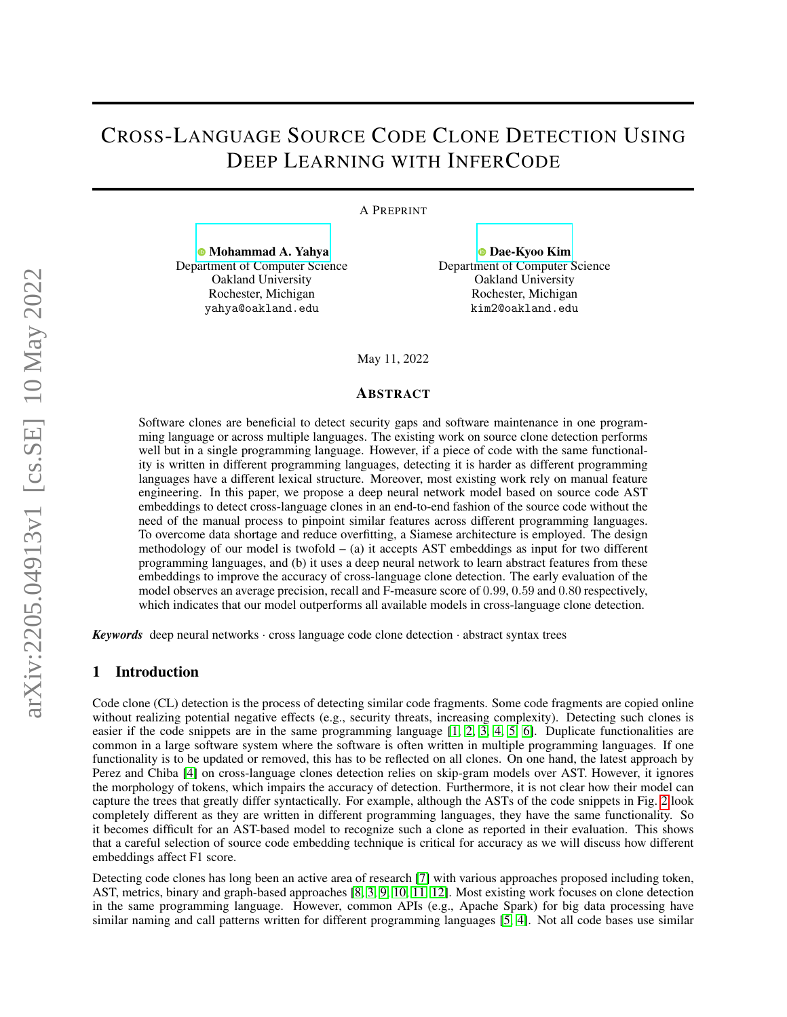# CROSS-LANGUAGE SOURCE CODE CLONE DETECTION USING DEEP LEARNING WITH INFERCODE

A PREPRINT

[Mohammad A. Yahya](https://orcid.org/0000-0001-9686-3385) Department of Computer Science Oakland University Rochester, Michigan yahya@oakland.edu

[Dae-Kyoo Kim](https://orcid.org/0000-0002-7133-9111) Department of Computer Science Oakland University Rochester, Michigan kim2@oakland.edu

May 11, 2022

#### ABSTRACT

Software clones are beneficial to detect security gaps and software maintenance in one programming language or across multiple languages. The existing work on source clone detection performs well but in a single programming language. However, if a piece of code with the same functionality is written in different programming languages, detecting it is harder as different programming languages have a different lexical structure. Moreover, most existing work rely on manual feature engineering. In this paper, we propose a deep neural network model based on source code AST embeddings to detect cross-language clones in an end-to-end fashion of the source code without the need of the manual process to pinpoint similar features across different programming languages. To overcome data shortage and reduce overfitting, a Siamese architecture is employed. The design methodology of our model is twofold  $-$  (a) it accepts AST embeddings as input for two different programming languages, and (b) it uses a deep neural network to learn abstract features from these embeddings to improve the accuracy of cross-language clone detection. The early evaluation of the model observes an average precision, recall and F-measure score of 0.99, 0.59 and 0.80 respectively, which indicates that our model outperforms all available models in cross-language clone detection.

*Keywords* deep neural networks · cross language code clone detection · abstract syntax trees

## 1 Introduction

Code clone (CL) detection is the process of detecting similar code fragments. Some code fragments are copied online without realizing potential negative effects (e.g., security threats, increasing complexity). Detecting such clones is easier if the code snippets are in the same programming language [\[1,](#page-8-0) [2,](#page-8-1) [3,](#page-8-2) [4,](#page-8-3) [5,](#page-8-4) [6\]](#page-8-5). Duplicate functionalities are common in a large software system where the software is often written in multiple programming languages. If one functionality is to be updated or removed, this has to be reflected on all clones. On one hand, the latest approach by Perez and Chiba [\[4\]](#page-8-3) on cross-language clones detection relies on skip-gram models over AST. However, it ignores the morphology of tokens, which impairs the accuracy of detection. Furthermore, it is not clear how their model can capture the trees that greatly differ syntactically. For example, although the ASTs of the code snippets in Fig. [2](#page-4-0) look completely different as they are written in different programming languages, they have the same functionality. So it becomes difficult for an AST-based model to recognize such a clone as reported in their evaluation. This shows that a careful selection of source code embedding technique is critical for accuracy as we will discuss how different embeddings affect F1 score.

Detecting code clones has long been an active area of research [\[7\]](#page-8-6) with various approaches proposed including token, AST, metrics, binary and graph-based approaches [\[8,](#page-8-7) [3,](#page-8-2) [9,](#page-8-8) [10,](#page-8-9) [11,](#page-8-10) [12\]](#page-8-11). Most existing work focuses on clone detection in the same programming language. However, common APIs (e.g., Apache Spark) for big data processing have similar naming and call patterns written for different programming languages [\[5,](#page-8-4) [4\]](#page-8-3). Not all code bases use similar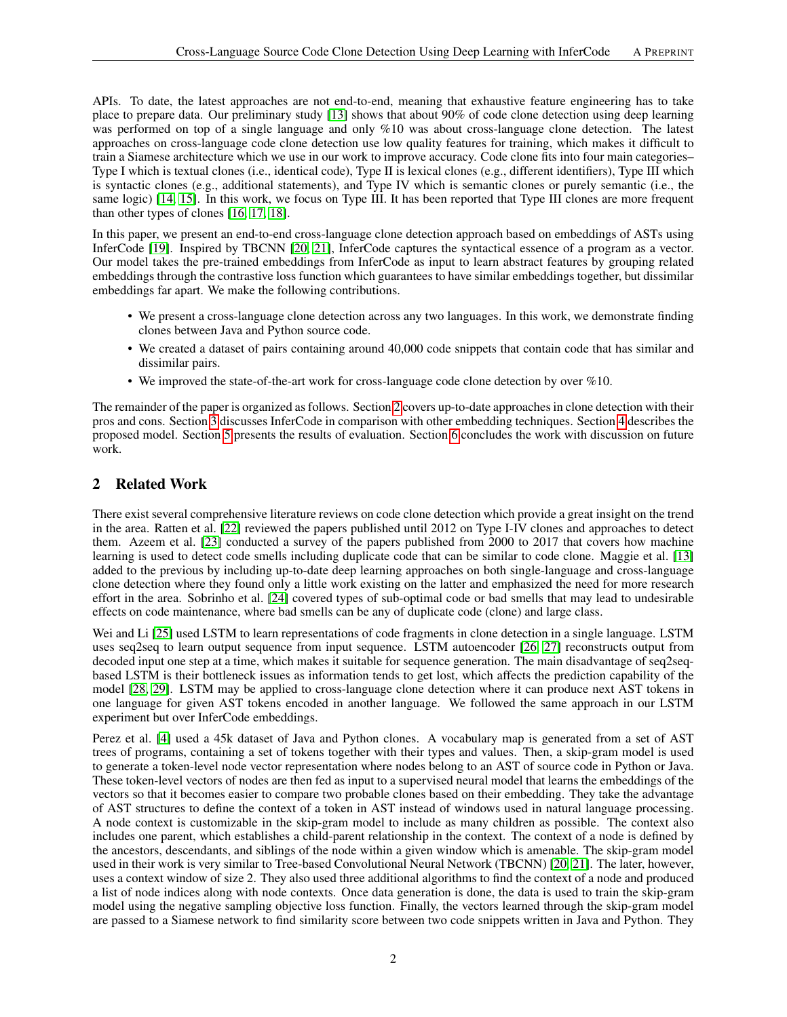APIs. To date, the latest approaches are not end-to-end, meaning that exhaustive feature engineering has to take place to prepare data. Our preliminary study [\[13\]](#page-8-12) shows that about 90% of code clone detection using deep learning was performed on top of a single language and only %10 was about cross-language clone detection. The latest approaches on cross-language code clone detection use low quality features for training, which makes it difficult to train a Siamese architecture which we use in our work to improve accuracy. Code clone fits into four main categories– Type I which is textual clones (i.e., identical code), Type II is lexical clones (e.g., different identifiers), Type III which is syntactic clones (e.g., additional statements), and Type IV which is semantic clones or purely semantic (i.e., the same logic) [\[14,](#page-8-13) [15\]](#page-8-14). In this work, we focus on Type III. It has been reported that Type III clones are more frequent than other types of clones [\[16,](#page-8-15) [17,](#page-8-16) [18\]](#page-8-17).

In this paper, we present an end-to-end cross-language clone detection approach based on embeddings of ASTs using InferCode [\[19\]](#page-8-18). Inspired by TBCNN [\[20,](#page-8-19) [21\]](#page-8-20), InferCode captures the syntactical essence of a program as a vector. Our model takes the pre-trained embeddings from InferCode as input to learn abstract features by grouping related embeddings through the contrastive loss function which guarantees to have similar embeddings together, but dissimilar embeddings far apart. We make the following contributions.

- We present a cross-language clone detection across any two languages. In this work, we demonstrate finding clones between Java and Python source code.
- We created a dataset of pairs containing around 40,000 code snippets that contain code that has similar and dissimilar pairs.
- We improved the state-of-the-art work for cross-language code clone detection by over %10.

The remainder of the paper is organized as follows. Section [2](#page-1-0) covers up-to-date approaches in clone detection with their pros and cons. Section [3](#page-2-0) discusses InferCode in comparison with other embedding techniques. Section [4](#page-3-0) describes the proposed model. Section [5](#page-6-0) presents the results of evaluation. Section [6](#page-7-0) concludes the work with discussion on future work.

# <span id="page-1-0"></span>2 Related Work

There exist several comprehensive literature reviews on code clone detection which provide a great insight on the trend in the area. Ratten et al. [\[22\]](#page-9-0) reviewed the papers published until 2012 on Type I-IV clones and approaches to detect them. Azeem et al. [\[23\]](#page-9-1) conducted a survey of the papers published from 2000 to 2017 that covers how machine learning is used to detect code smells including duplicate code that can be similar to code clone. Maggie et al. [\[13\]](#page-8-12) added to the previous by including up-to-date deep learning approaches on both single-language and cross-language clone detection where they found only a little work existing on the latter and emphasized the need for more research effort in the area. Sobrinho et al. [\[24\]](#page-9-2) covered types of sub-optimal code or bad smells that may lead to undesirable effects on code maintenance, where bad smells can be any of duplicate code (clone) and large class.

Wei and Li [\[25\]](#page-9-3) used LSTM to learn representations of code fragments in clone detection in a single language. LSTM uses seq2seq to learn output sequence from input sequence. LSTM autoencoder [\[26,](#page-9-4) [27\]](#page-9-5) reconstructs output from decoded input one step at a time, which makes it suitable for sequence generation. The main disadvantage of seq2seqbased LSTM is their bottleneck issues as information tends to get lost, which affects the prediction capability of the model [\[28,](#page-9-6) [29\]](#page-9-7). LSTM may be applied to cross-language clone detection where it can produce next AST tokens in one language for given AST tokens encoded in another language. We followed the same approach in our LSTM experiment but over InferCode embeddings.

Perez et al. [\[4\]](#page-8-3) used a 45k dataset of Java and Python clones. A vocabulary map is generated from a set of AST trees of programs, containing a set of tokens together with their types and values. Then, a skip-gram model is used to generate a token-level node vector representation where nodes belong to an AST of source code in Python or Java. These token-level vectors of nodes are then fed as input to a supervised neural model that learns the embeddings of the vectors so that it becomes easier to compare two probable clones based on their embedding. They take the advantage of AST structures to define the context of a token in AST instead of windows used in natural language processing. A node context is customizable in the skip-gram model to include as many children as possible. The context also includes one parent, which establishes a child-parent relationship in the context. The context of a node is defined by the ancestors, descendants, and siblings of the node within a given window which is amenable. The skip-gram model used in their work is very similar to Tree-based Convolutional Neural Network (TBCNN) [\[20,](#page-8-19) [21\]](#page-8-20). The later, however, uses a context window of size 2. They also used three additional algorithms to find the context of a node and produced a list of node indices along with node contexts. Once data generation is done, the data is used to train the skip-gram model using the negative sampling objective loss function. Finally, the vectors learned through the skip-gram model are passed to a Siamese network to find similarity score between two code snippets written in Java and Python. They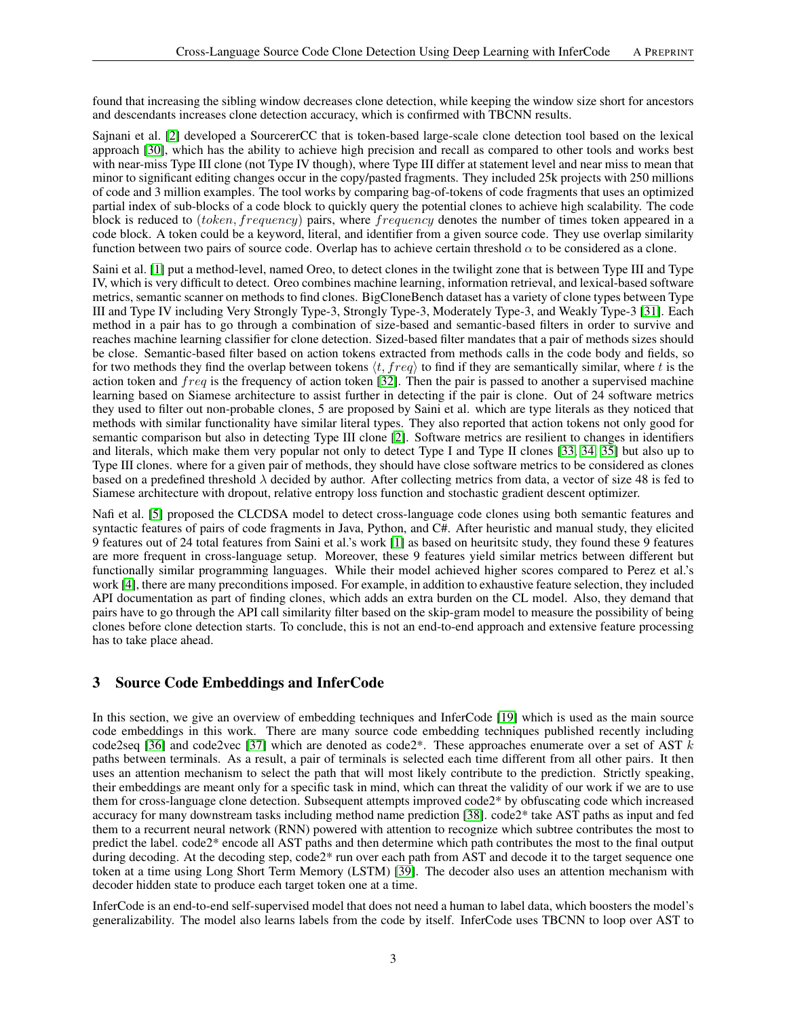found that increasing the sibling window decreases clone detection, while keeping the window size short for ancestors and descendants increases clone detection accuracy, which is confirmed with TBCNN results.

Sajnani et al. [\[2\]](#page-8-1) developed a SourcererCC that is token-based large-scale clone detection tool based on the lexical approach [\[30\]](#page-9-8), which has the ability to achieve high precision and recall as compared to other tools and works best with near-miss Type III clone (not Type IV though), where Type III differ at statement level and near miss to mean that minor to significant editing changes occur in the copy/pasted fragments. They included 25k projects with 250 millions of code and 3 million examples. The tool works by comparing bag-of-tokens of code fragments that uses an optimized partial index of sub-blocks of a code block to quickly query the potential clones to achieve high scalability. The code block is reduced to (token, frequency) pairs, where frequency denotes the number of times token appeared in a code block. A token could be a keyword, literal, and identifier from a given source code. They use overlap similarity function between two pairs of source code. Overlap has to achieve certain threshold  $\alpha$  to be considered as a clone.

Saini et al. [\[1\]](#page-8-0) put a method-level, named Oreo, to detect clones in the twilight zone that is between Type III and Type IV, which is very difficult to detect. Oreo combines machine learning, information retrieval, and lexical-based software metrics, semantic scanner on methods to find clones. BigCloneBench dataset has a variety of clone types between Type III and Type IV including Very Strongly Type-3, Strongly Type-3, Moderately Type-3, and Weakly Type-3 [\[31\]](#page-9-9). Each method in a pair has to go through a combination of size-based and semantic-based filters in order to survive and reaches machine learning classifier for clone detection. Sized-based filter mandates that a pair of methods sizes should be close. Semantic-based filter based on action tokens extracted from methods calls in the code body and fields, so for two methods they find the overlap between tokens  $\langle t, freq \rangle$  to find if they are semantically similar, where t is the action token and  $freq$  is the frequency of action token [\[32\]](#page-9-10). Then the pair is passed to another a supervised machine learning based on Siamese architecture to assist further in detecting if the pair is clone. Out of 24 software metrics they used to filter out non-probable clones, 5 are proposed by Saini et al. which are type literals as they noticed that methods with similar functionality have similar literal types. They also reported that action tokens not only good for semantic comparison but also in detecting Type III clone [\[2\]](#page-8-1). Software metrics are resilient to changes in identifiers and literals, which make them very popular not only to detect Type I and Type II clones [\[33,](#page-9-11) [34,](#page-9-12) [35\]](#page-9-13) but also up to Type III clones. where for a given pair of methods, they should have close software metrics to be considered as clones based on a predefined threshold  $\lambda$  decided by author. After collecting metrics from data, a vector of size 48 is fed to Siamese architecture with dropout, relative entropy loss function and stochastic gradient descent optimizer.

Nafi et al. [\[5\]](#page-8-4) proposed the CLCDSA model to detect cross-language code clones using both semantic features and syntactic features of pairs of code fragments in Java, Python, and C#. After heuristic and manual study, they elicited 9 features out of 24 total features from Saini et al.'s work [\[1\]](#page-8-0) as based on heuritsitc study, they found these 9 features are more frequent in cross-language setup. Moreover, these 9 features yield similar metrics between different but functionally similar programming languages. While their model achieved higher scores compared to Perez et al.'s work [\[4\]](#page-8-3), there are many preconditions imposed. For example, in addition to exhaustive feature selection, they included API documentation as part of finding clones, which adds an extra burden on the CL model. Also, they demand that pairs have to go through the API call similarity filter based on the skip-gram model to measure the possibility of being clones before clone detection starts. To conclude, this is not an end-to-end approach and extensive feature processing has to take place ahead.

## <span id="page-2-0"></span>3 Source Code Embeddings and InferCode

In this section, we give an overview of embedding techniques and InferCode [\[19\]](#page-8-18) which is used as the main source code embeddings in this work. There are many source code embedding techniques published recently including code2seq [\[36\]](#page-9-14) and code2vec [\[37\]](#page-9-15) which are denoted as code2\*. These approaches enumerate over a set of AST  $k$ paths between terminals. As a result, a pair of terminals is selected each time different from all other pairs. It then uses an attention mechanism to select the path that will most likely contribute to the prediction. Strictly speaking, their embeddings are meant only for a specific task in mind, which can threat the validity of our work if we are to use them for cross-language clone detection. Subsequent attempts improved code2\* by obfuscating code which increased accuracy for many downstream tasks including method name prediction [\[38\]](#page-9-16). code2\* take AST paths as input and fed them to a recurrent neural network (RNN) powered with attention to recognize which subtree contributes the most to predict the label. code2\* encode all AST paths and then determine which path contributes the most to the final output during decoding. At the decoding step, code2\* run over each path from AST and decode it to the target sequence one token at a time using Long Short Term Memory (LSTM) [\[39\]](#page-9-17). The decoder also uses an attention mechanism with decoder hidden state to produce each target token one at a time.

InferCode is an end-to-end self-supervised model that does not need a human to label data, which boosters the model's generalizability. The model also learns labels from the code by itself. InferCode uses TBCNN to loop over AST to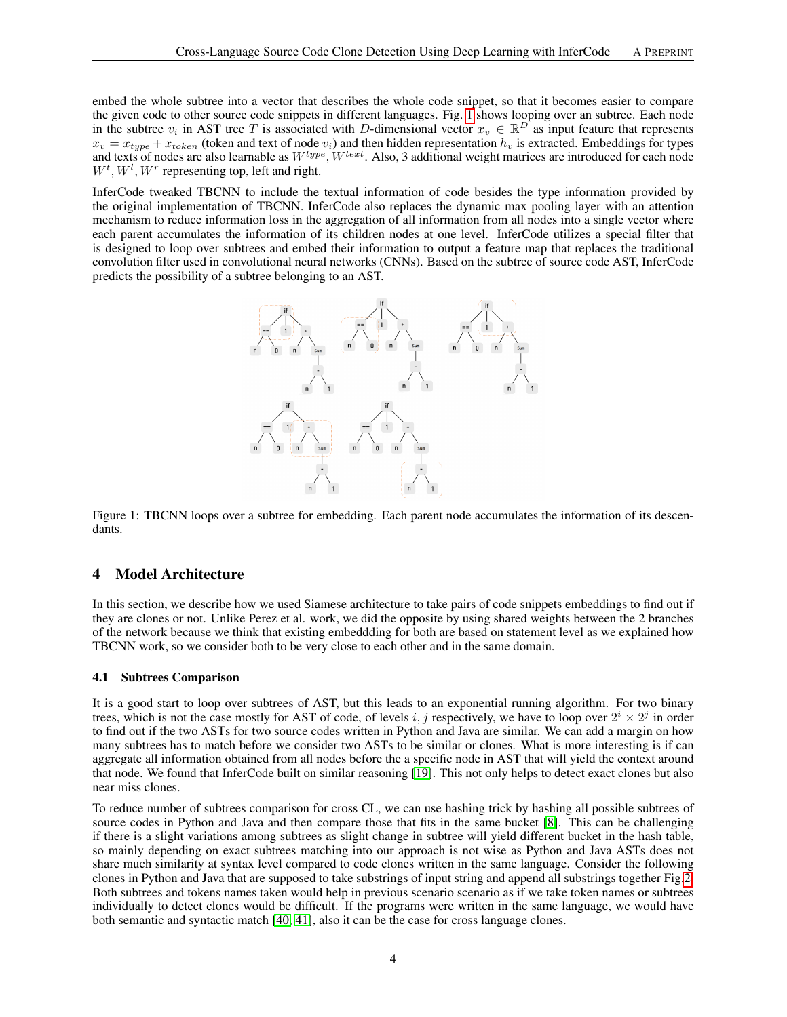embed the whole subtree into a vector that describes the whole code snippet, so that it becomes easier to compare the given code to other source code snippets in different languages. Fig. [1](#page-3-1) shows looping over an subtree. Each node in the subtree  $v_i$  in AST tree T is associated with D-dimensional vector  $x_v \in \mathbb{R}^D$  as input feature that represents  $x_v = x_{type} + x_{token}$  (token and text of node  $v_i$ ) and then hidden representation  $h_v$  is extracted. Embeddings for types and texts of nodes are also learnable as  $W^{type}$ ,  $W^{text}$ . Also, 3 additional weight matrices are introduced for each node  $W^t, W^l, W^r$  representing top, left and right.

<span id="page-3-1"></span>InferCode tweaked TBCNN to include the textual information of code besides the type information provided by the original implementation of TBCNN. InferCode also replaces the dynamic max pooling layer with an attention mechanism to reduce information loss in the aggregation of all information from all nodes into a single vector where each parent accumulates the information of its children nodes at one level. InferCode utilizes a special filter that is designed to loop over subtrees and embed their information to output a feature map that replaces the traditional convolution filter used in convolutional neural networks (CNNs). Based on the subtree of source code AST, InferCode predicts the possibility of a subtree belonging to an AST.



Figure 1: TBCNN loops over a subtree for embedding. Each parent node accumulates the information of its descendants.

#### <span id="page-3-0"></span>4 Model Architecture

In this section, we describe how we used Siamese architecture to take pairs of code snippets embeddings to find out if they are clones or not. Unlike Perez et al. work, we did the opposite by using shared weights between the 2 branches of the network because we think that existing embeddding for both are based on statement level as we explained how TBCNN work, so we consider both to be very close to each other and in the same domain.

#### 4.1 Subtrees Comparison

It is a good start to loop over subtrees of AST, but this leads to an exponential running algorithm. For two binary trees, which is not the case mostly for AST of code, of levels i, j respectively, we have to loop over  $2^i \times 2^j$  in order to find out if the two ASTs for two source codes written in Python and Java are similar. We can add a margin on how many subtrees has to match before we consider two ASTs to be similar or clones. What is more interesting is if can aggregate all information obtained from all nodes before the a specific node in AST that will yield the context around that node. We found that InferCode built on similar reasoning [\[19\]](#page-8-18). This not only helps to detect exact clones but also near miss clones.

To reduce number of subtrees comparison for cross CL, we can use hashing trick by hashing all possible subtrees of source codes in Python and Java and then compare those that fits in the same bucket [\[8\]](#page-8-7). This can be challenging if there is a slight variations among subtrees as slight change in subtree will yield different bucket in the hash table, so mainly depending on exact subtrees matching into our approach is not wise as Python and Java ASTs does not share much similarity at syntax level compared to code clones written in the same language. Consider the following clones in Python and Java that are supposed to take substrings of input string and append all substrings together Fig[.2.](#page-4-0) Both subtrees and tokens names taken would help in previous scenario scenario as if we take token names or subtrees individually to detect clones would be difficult. If the programs were written in the same language, we would have both semantic and syntactic match [\[40,](#page-9-18) [41\]](#page-9-19), also it can be the case for cross language clones.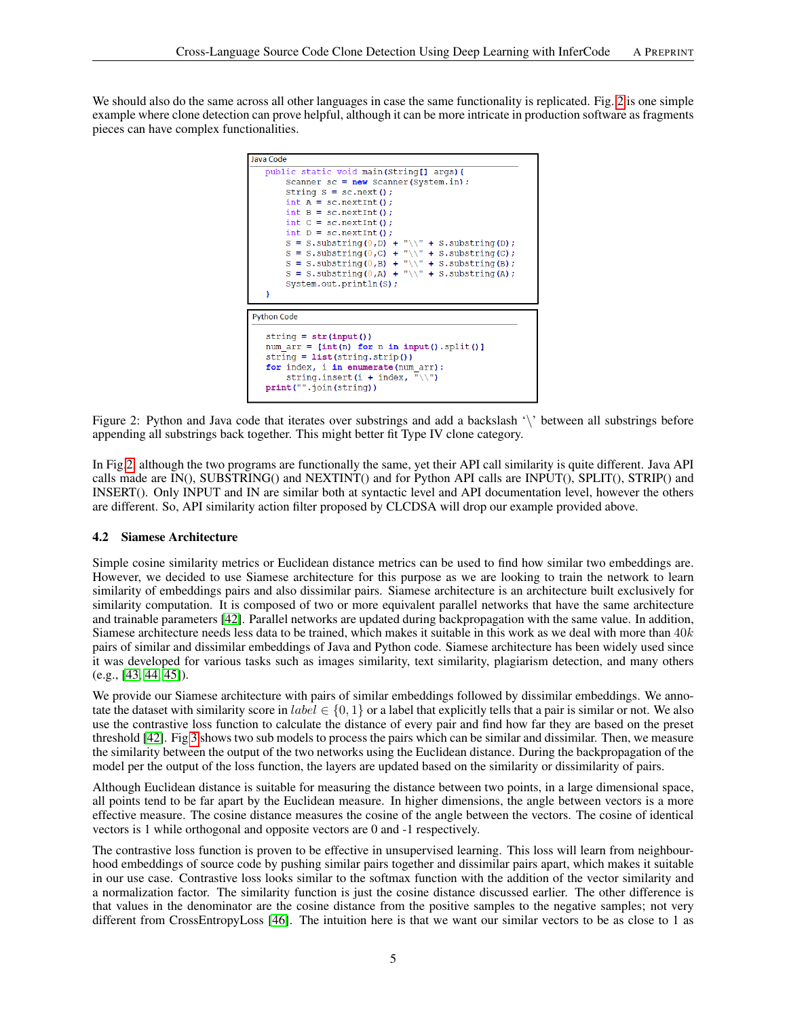<span id="page-4-0"></span>We should also do the same across all other languages in case the same functionality is replicated. Fig. [2](#page-4-0) is one simple example where clone detection can prove helpful, although it can be more intricate in production software as fragments pieces can have complex functionalities.



Figure 2: Python and Java code that iterates over substrings and add a backslash '\' between all substrings before appending all substrings back together. This might better fit Type IV clone category.

In Fig[.2,](#page-4-0) although the two programs are functionally the same, yet their API call similarity is quite different. Java API calls made are IN(), SUBSTRING() and NEXTINT() and for Python API calls are INPUT(), SPLIT(), STRIP() and INSERT(). Only INPUT and IN are similar both at syntactic level and API documentation level, however the others are different. So, API similarity action filter proposed by CLCDSA will drop our example provided above.

#### <span id="page-4-1"></span>4.2 Siamese Architecture

Simple cosine similarity metrics or Euclidean distance metrics can be used to find how similar two embeddings are. However, we decided to use Siamese architecture for this purpose as we are looking to train the network to learn similarity of embeddings pairs and also dissimilar pairs. Siamese architecture is an architecture built exclusively for similarity computation. It is composed of two or more equivalent parallel networks that have the same architecture and trainable parameters [\[42\]](#page-9-20). Parallel networks are updated during backpropagation with the same value. In addition, Siamese architecture needs less data to be trained, which makes it suitable in this work as we deal with more than  $40k$ pairs of similar and dissimilar embeddings of Java and Python code. Siamese architecture has been widely used since it was developed for various tasks such as images similarity, text similarity, plagiarism detection, and many others (e.g., [\[43,](#page-10-0) [44,](#page-10-1) [45\]](#page-10-2)).

We provide our Siamese architecture with pairs of similar embeddings followed by dissimilar embeddings. We annotate the dataset with similarity score in  $label \in \{0,1\}$  or a label that explicitly tells that a pair is similar or not. We also use the contrastive loss function to calculate the distance of every pair and find how far they are based on the preset threshold [\[42\]](#page-9-20). Fig [3](#page-5-0) shows two sub models to process the pairs which can be similar and dissimilar. Then, we measure the similarity between the output of the two networks using the Euclidean distance. During the backpropagation of the model per the output of the loss function, the layers are updated based on the similarity or dissimilarity of pairs.

Although Euclidean distance is suitable for measuring the distance between two points, in a large dimensional space, all points tend to be far apart by the Euclidean measure. In higher dimensions, the angle between vectors is a more effective measure. The cosine distance measures the cosine of the angle between the vectors. The cosine of identical vectors is 1 while orthogonal and opposite vectors are 0 and -1 respectively.

The contrastive loss function is proven to be effective in unsupervised learning. This loss will learn from neighbourhood embeddings of source code by pushing similar pairs together and dissimilar pairs apart, which makes it suitable in our use case. Contrastive loss looks similar to the softmax function with the addition of the vector similarity and a normalization factor. The similarity function is just the cosine distance discussed earlier. The other difference is that values in the denominator are the cosine distance from the positive samples to the negative samples; not very different from CrossEntropyLoss [\[46\]](#page-10-3). The intuition here is that we want our similar vectors to be as close to 1 as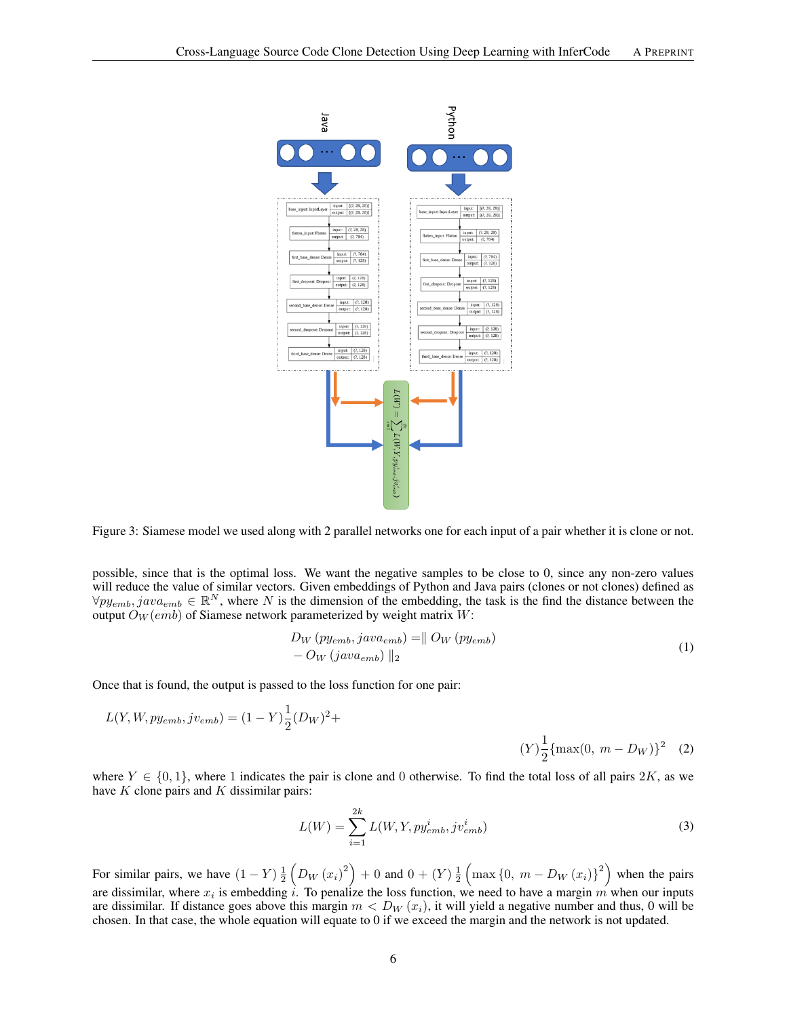<span id="page-5-0"></span>

Figure 3: Siamese model we used along with 2 parallel networks one for each input of a pair whether it is clone or not.

possible, since that is the optimal loss. We want the negative samples to be close to 0, since any non-zero values will reduce the value of similar vectors. Given embeddings of Python and Java pairs (clones or not clones) defined as  $\forall py_{emb}, java_{emb} \in \mathbb{R}^N$ , where N is the dimension of the embedding, the task is the find the distance between the output  $\tilde{O}_W(em)$  of Siamese network parameterized by weight matrix  $W$ :

$$
D_W \left( p y_{emb}, j a v a_{emb} \right) = || \ O_W \left( p y_{emb} \right) - O_W \left( j a v a_{emb} \right) ||_2
$$
\n
$$
(1)
$$

Once that is found, the output is passed to the loss function for one pair:

$$
L(Y, W, py_{emb}, jv_{emb}) = (1 - Y)\frac{1}{2}(D_W)^2 +
$$
  
(Y) $\frac{1}{2}$ {max(0, m - D\_W)}<sup>2</sup> (2)

where  $Y \in \{0,1\}$ , where 1 indicates the pair is clone and 0 otherwise. To find the total loss of all pairs 2K, as we have  $K$  clone pairs and  $K$  dissimilar pairs:

$$
L(W) = \sum_{i=1}^{2k} L(W, Y, py_{emb}^i, jv_{emb}^i)
$$
\n(3)

For similar pairs, we have  $(1 - Y) \frac{1}{2} \left( D_W (x_i)^2 \right) + 0$  and  $0 + (Y) \frac{1}{2} \left( \max \{0, m - D_W (x_i)\}^2 \right)$  when the pairs are dissimilar, where  $x_i$  is embedding i. To penalize the loss function, we need to have a margin m when our inputs are dissimilar. If distance goes above this margin  $m < D_W(x_i)$ , it will yield a negative number and thus, 0 will be chosen. In that case, the whole equation will equate to 0 if we exceed the margin and the network is not updated.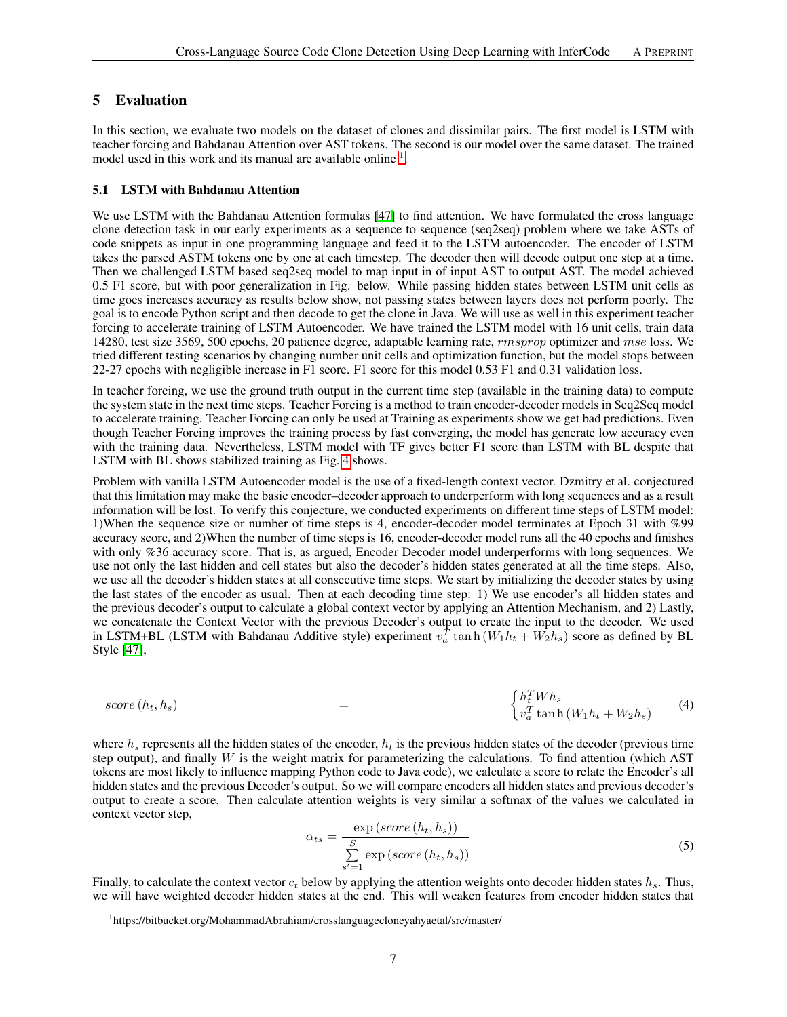# <span id="page-6-0"></span>5 Evaluation

In this section, we evaluate two models on the dataset of clones and dissimilar pairs. The first model is LSTM with teacher forcing and Bahdanau Attention over AST tokens. The second is our model over the same dataset. The trained model used in this work and its manual are available online <sup>[1](#page-6-1)</sup>.

#### 5.1 LSTM with Bahdanau Attention

We use LSTM with the Bahdanau Attention formulas [\[47\]](#page-10-4) to find attention. We have formulated the cross language clone detection task in our early experiments as a sequence to sequence (seq2seq) problem where we take ASTs of code snippets as input in one programming language and feed it to the LSTM autoencoder. The encoder of LSTM takes the parsed ASTM tokens one by one at each timestep. The decoder then will decode output one step at a time. Then we challenged LSTM based seq2seq model to map input in of input AST to output AST. The model achieved 0.5 F1 score, but with poor generalization in Fig. below. While passing hidden states between LSTM unit cells as time goes increases accuracy as results below show, not passing states between layers does not perform poorly. The goal is to encode Python script and then decode to get the clone in Java. We will use as well in this experiment teacher forcing to accelerate training of LSTM Autoencoder. We have trained the LSTM model with 16 unit cells, train data 14280, test size 3569, 500 epochs, 20 patience degree, adaptable learning rate, *rmsprop* optimizer and mse loss. We tried different testing scenarios by changing number unit cells and optimization function, but the model stops between 22-27 epochs with negligible increase in F1 score. F1 score for this model 0.53 F1 and 0.31 validation loss.

In teacher forcing, we use the ground truth output in the current time step (available in the training data) to compute the system state in the next time steps. Teacher Forcing is a method to train encoder-decoder models in Seq2Seq model to accelerate training. Teacher Forcing can only be used at Training as experiments show we get bad predictions. Even though Teacher Forcing improves the training process by fast converging, the model has generate low accuracy even with the training data. Nevertheless, LSTM model with TF gives better F1 score than LSTM with BL despite that LSTM with BL shows stabilized training as Fig. [4](#page-7-1) shows.

Problem with vanilla LSTM Autoencoder model is the use of a fixed-length context vector. Dzmitry et al. conjectured that this limitation may make the basic encoder–decoder approach to underperform with long sequences and as a result information will be lost. To verify this conjecture, we conducted experiments on different time steps of LSTM model: 1)When the sequence size or number of time steps is 4, encoder-decoder model terminates at Epoch 31 with %99 accuracy score, and 2)When the number of time steps is 16, encoder-decoder model runs all the 40 epochs and finishes with only %36 accuracy score. That is, as argued, Encoder Decoder model underperforms with long sequences. We use not only the last hidden and cell states but also the decoder's hidden states generated at all the time steps. Also, we use all the decoder's hidden states at all consecutive time steps. We start by initializing the decoder states by using the last states of the encoder as usual. Then at each decoding time step: 1) We use encoder's all hidden states and the previous decoder's output to calculate a global context vector by applying an Attention Mechanism, and 2) Lastly, we concatenate the Context Vector with the previous Decoder's output to create the input to the decoder. We used in LSTM+BL (LSTM with Bahdanau Additive style) experiment  $v_a^T \tan \frac{h}{w_a} \tan \frac{h}{w_a} + W_2 h_s$ ) score as defined by BL Style [\[47\]](#page-10-4),

$$
score(h_t, h_s) = \begin{cases} h_t^T W h_s \\ v_a^T \tanh(W_1 h_t + W_2 h_s) \end{cases} (4)
$$

where  $h_s$  represents all the hidden states of the encoder,  $h_t$  is the previous hidden states of the decoder (previous time step output), and finally  $W$  is the weight matrix for parameterizing the calculations. To find attention (which AST) tokens are most likely to influence mapping Python code to Java code), we calculate a score to relate the Encoder's all hidden states and the previous Decoder's output. So we will compare encoders all hidden states and previous decoder's output to create a score. Then calculate attention weights is very similar a softmax of the values we calculated in context vector step,

$$
\alpha_{ts} = \frac{\exp(score\left(h_t, h_s\right))}{\sum\limits_{s'=1}^{S} \exp(score\left(h_t, h_s\right))}
$$
\n(5)

Finally, to calculate the context vector  $c_t$  below by applying the attention weights onto decoder hidden states  $h_s$ . Thus, we will have weighted decoder hidden states at the end. This will weaken features from encoder hidden states that

<span id="page-6-1"></span><sup>1</sup> https://bitbucket.org/MohammadAbrahiam/crosslanguagecloneyahyaetal/src/master/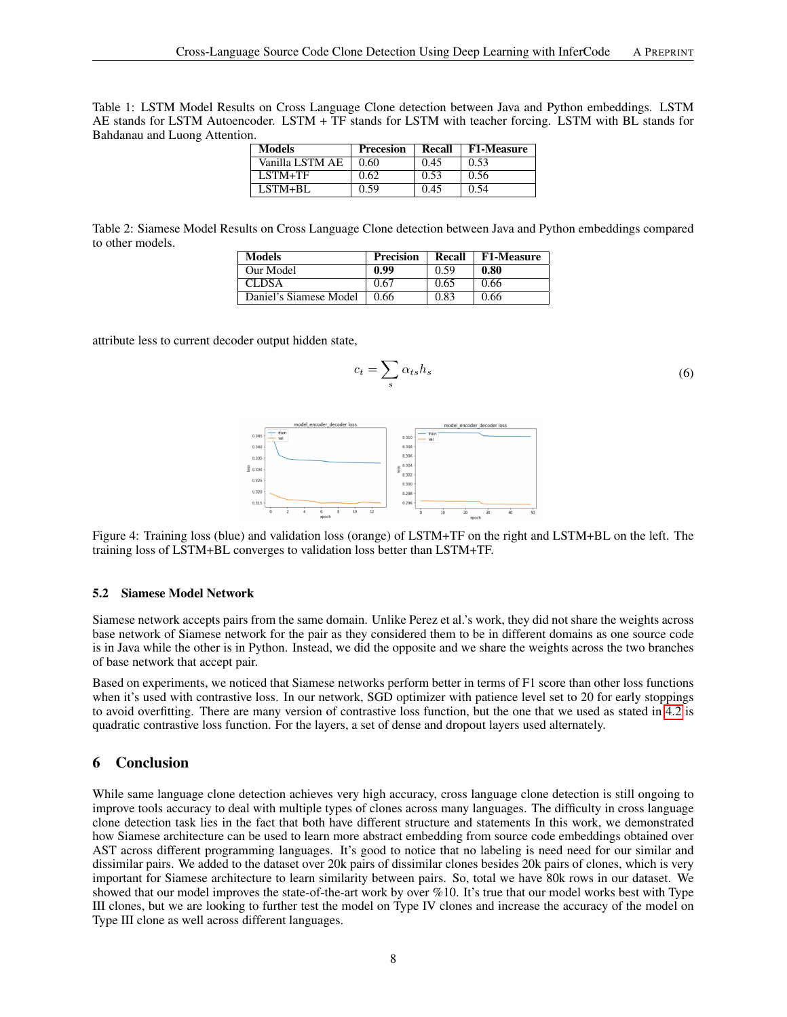Table 1: LSTM Model Results on Cross Language Clone detection between Java and Python embeddings. LSTM AE stands for LSTM Autoencoder. LSTM + TF stands for LSTM with teacher forcing. LSTM with BL stands for Bahdanau and Luong Attention.

| <b>Models</b>   | <b>Precesion</b> | Recall | <b>F1-Measure</b> |
|-----------------|------------------|--------|-------------------|
| Vanilla LSTM AE | 0.60             | 0.45   | 0.53              |
| LSTM+TF         | 0.62             | 0.53   | 0.56              |
| LSTM+BL         | 0.59             | 0.45   | 0.54              |

Table 2: Siamese Model Results on Cross Language Clone detection between Java and Python embeddings compared to other models.

| <b>Models</b>          | <b>Precision</b> | Recall | <b>F1-Measure</b> |
|------------------------|------------------|--------|-------------------|
| Our Model              | 0.99             | 0.59   | 0.80              |
| CLDSA                  | 0.67             | 0.65   | 0.66              |
| Daniel's Siamese Model | 0.66             | 0.83   | 0.66              |

<span id="page-7-1"></span>attribute less to current decoder output hidden state,

$$
c_t = \sum_s \alpha_{ts} h_s \tag{6}
$$



Figure 4: Training loss (blue) and validation loss (orange) of LSTM+TF on the right and LSTM+BL on the left. The training loss of LSTM+BL converges to validation loss better than LSTM+TF.

#### 5.2 Siamese Model Network

Siamese network accepts pairs from the same domain. Unlike Perez et al.'s work, they did not share the weights across base network of Siamese network for the pair as they considered them to be in different domains as one source code is in Java while the other is in Python. Instead, we did the opposite and we share the weights across the two branches of base network that accept pair.

Based on experiments, we noticed that Siamese networks perform better in terms of F1 score than other loss functions when it's used with contrastive loss. In our network, SGD optimizer with patience level set to 20 for early stoppings to avoid overfitting. There are many version of contrastive loss function, but the one that we used as stated in [4.2](#page-4-1) is quadratic contrastive loss function. For the layers, a set of dense and dropout layers used alternately.

#### <span id="page-7-0"></span>6 Conclusion

While same language clone detection achieves very high accuracy, cross language clone detection is still ongoing to improve tools accuracy to deal with multiple types of clones across many languages. The difficulty in cross language clone detection task lies in the fact that both have different structure and statements In this work, we demonstrated how Siamese architecture can be used to learn more abstract embedding from source code embeddings obtained over AST across different programming languages. It's good to notice that no labeling is need need for our similar and dissimilar pairs. We added to the dataset over 20k pairs of dissimilar clones besides 20k pairs of clones, which is very important for Siamese architecture to learn similarity between pairs. So, total we have 80k rows in our dataset. We showed that our model improves the state-of-the-art work by over %10. It's true that our model works best with Type III clones, but we are looking to further test the model on Type IV clones and increase the accuracy of the model on Type III clone as well across different languages.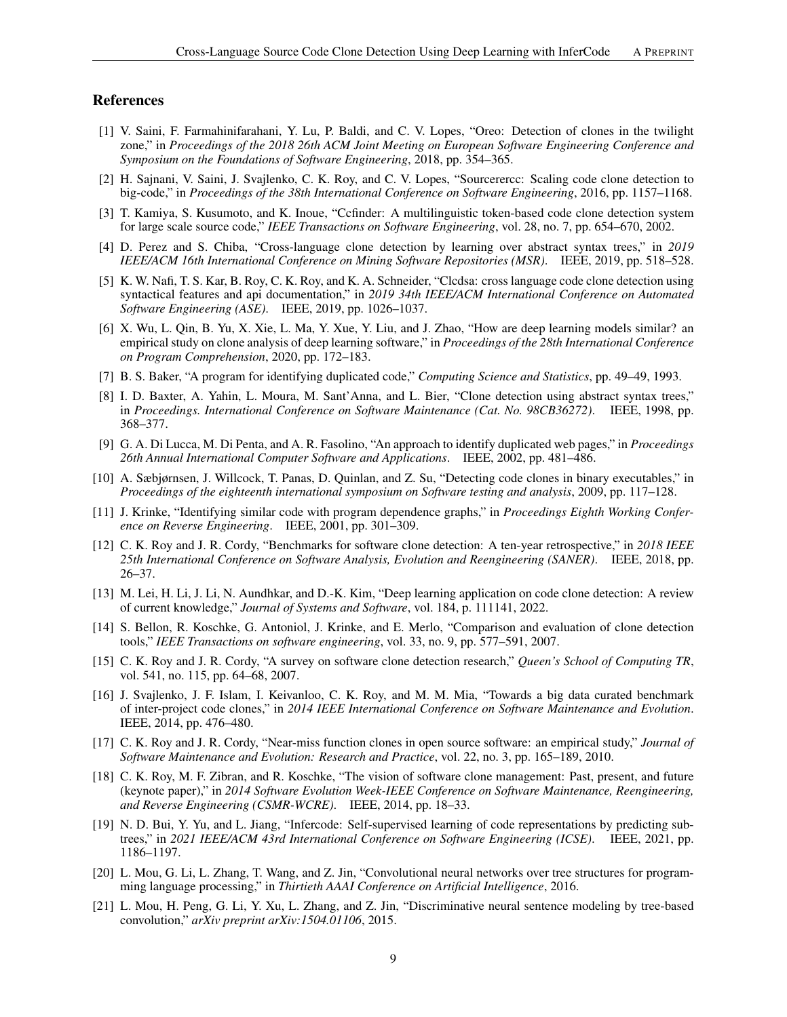#### References

- <span id="page-8-0"></span>[1] V. Saini, F. Farmahinifarahani, Y. Lu, P. Baldi, and C. V. Lopes, "Oreo: Detection of clones in the twilight zone," in *Proceedings of the 2018 26th ACM Joint Meeting on European Software Engineering Conference and Symposium on the Foundations of Software Engineering*, 2018, pp. 354–365.
- <span id="page-8-1"></span>[2] H. Sajnani, V. Saini, J. Svajlenko, C. K. Roy, and C. V. Lopes, "Sourcerercc: Scaling code clone detection to big-code," in *Proceedings of the 38th International Conference on Software Engineering*, 2016, pp. 1157–1168.
- <span id="page-8-2"></span>[3] T. Kamiya, S. Kusumoto, and K. Inoue, "Ccfinder: A multilinguistic token-based code clone detection system for large scale source code," *IEEE Transactions on Software Engineering*, vol. 28, no. 7, pp. 654–670, 2002.
- <span id="page-8-3"></span>[4] D. Perez and S. Chiba, "Cross-language clone detection by learning over abstract syntax trees," in *2019 IEEE/ACM 16th International Conference on Mining Software Repositories (MSR)*. IEEE, 2019, pp. 518–528.
- <span id="page-8-4"></span>[5] K. W. Nafi, T. S. Kar, B. Roy, C. K. Roy, and K. A. Schneider, "Clcdsa: cross language code clone detection using syntactical features and api documentation," in *2019 34th IEEE/ACM International Conference on Automated Software Engineering (ASE)*. IEEE, 2019, pp. 1026–1037.
- <span id="page-8-5"></span>[6] X. Wu, L. Qin, B. Yu, X. Xie, L. Ma, Y. Xue, Y. Liu, and J. Zhao, "How are deep learning models similar? an empirical study on clone analysis of deep learning software," in *Proceedings of the 28th International Conference on Program Comprehension*, 2020, pp. 172–183.
- <span id="page-8-6"></span>[7] B. S. Baker, "A program for identifying duplicated code," *Computing Science and Statistics*, pp. 49–49, 1993.
- <span id="page-8-7"></span>[8] I. D. Baxter, A. Yahin, L. Moura, M. Sant'Anna, and L. Bier, "Clone detection using abstract syntax trees," in *Proceedings. International Conference on Software Maintenance (Cat. No. 98CB36272)*. IEEE, 1998, pp. 368–377.
- <span id="page-8-8"></span>[9] G. A. Di Lucca, M. Di Penta, and A. R. Fasolino, "An approach to identify duplicated web pages," in *Proceedings 26th Annual International Computer Software and Applications*. IEEE, 2002, pp. 481–486.
- <span id="page-8-9"></span>[10] A. Sæbjørnsen, J. Willcock, T. Panas, D. Quinlan, and Z. Su, "Detecting code clones in binary executables," in *Proceedings of the eighteenth international symposium on Software testing and analysis*, 2009, pp. 117–128.
- <span id="page-8-10"></span>[11] J. Krinke, "Identifying similar code with program dependence graphs," in *Proceedings Eighth Working Conference on Reverse Engineering*. IEEE, 2001, pp. 301–309.
- <span id="page-8-11"></span>[12] C. K. Roy and J. R. Cordy, "Benchmarks for software clone detection: A ten-year retrospective," in *2018 IEEE 25th International Conference on Software Analysis, Evolution and Reengineering (SANER)*. IEEE, 2018, pp. 26–37.
- <span id="page-8-12"></span>[13] M. Lei, H. Li, J. Li, N. Aundhkar, and D.-K. Kim, "Deep learning application on code clone detection: A review of current knowledge," *Journal of Systems and Software*, vol. 184, p. 111141, 2022.
- <span id="page-8-13"></span>[14] S. Bellon, R. Koschke, G. Antoniol, J. Krinke, and E. Merlo, "Comparison and evaluation of clone detection tools," *IEEE Transactions on software engineering*, vol. 33, no. 9, pp. 577–591, 2007.
- <span id="page-8-14"></span>[15] C. K. Roy and J. R. Cordy, "A survey on software clone detection research," *Queen's School of Computing TR*, vol. 541, no. 115, pp. 64–68, 2007.
- <span id="page-8-15"></span>[16] J. Svajlenko, J. F. Islam, I. Keivanloo, C. K. Roy, and M. M. Mia, "Towards a big data curated benchmark of inter-project code clones," in *2014 IEEE International Conference on Software Maintenance and Evolution*. IEEE, 2014, pp. 476–480.
- <span id="page-8-16"></span>[17] C. K. Roy and J. R. Cordy, "Near-miss function clones in open source software: an empirical study," *Journal of Software Maintenance and Evolution: Research and Practice*, vol. 22, no. 3, pp. 165–189, 2010.
- <span id="page-8-17"></span>[18] C. K. Roy, M. F. Zibran, and R. Koschke, "The vision of software clone management: Past, present, and future (keynote paper)," in *2014 Software Evolution Week-IEEE Conference on Software Maintenance, Reengineering, and Reverse Engineering (CSMR-WCRE)*. IEEE, 2014, pp. 18–33.
- <span id="page-8-18"></span>[19] N. D. Bui, Y. Yu, and L. Jiang, "Infercode: Self-supervised learning of code representations by predicting subtrees," in *2021 IEEE/ACM 43rd International Conference on Software Engineering (ICSE)*. IEEE, 2021, pp. 1186–1197.
- <span id="page-8-19"></span>[20] L. Mou, G. Li, L. Zhang, T. Wang, and Z. Jin, "Convolutional neural networks over tree structures for programming language processing," in *Thirtieth AAAI Conference on Artificial Intelligence*, 2016.
- <span id="page-8-20"></span>[21] L. Mou, H. Peng, G. Li, Y. Xu, L. Zhang, and Z. Jin, "Discriminative neural sentence modeling by tree-based convolution," *arXiv preprint arXiv:1504.01106*, 2015.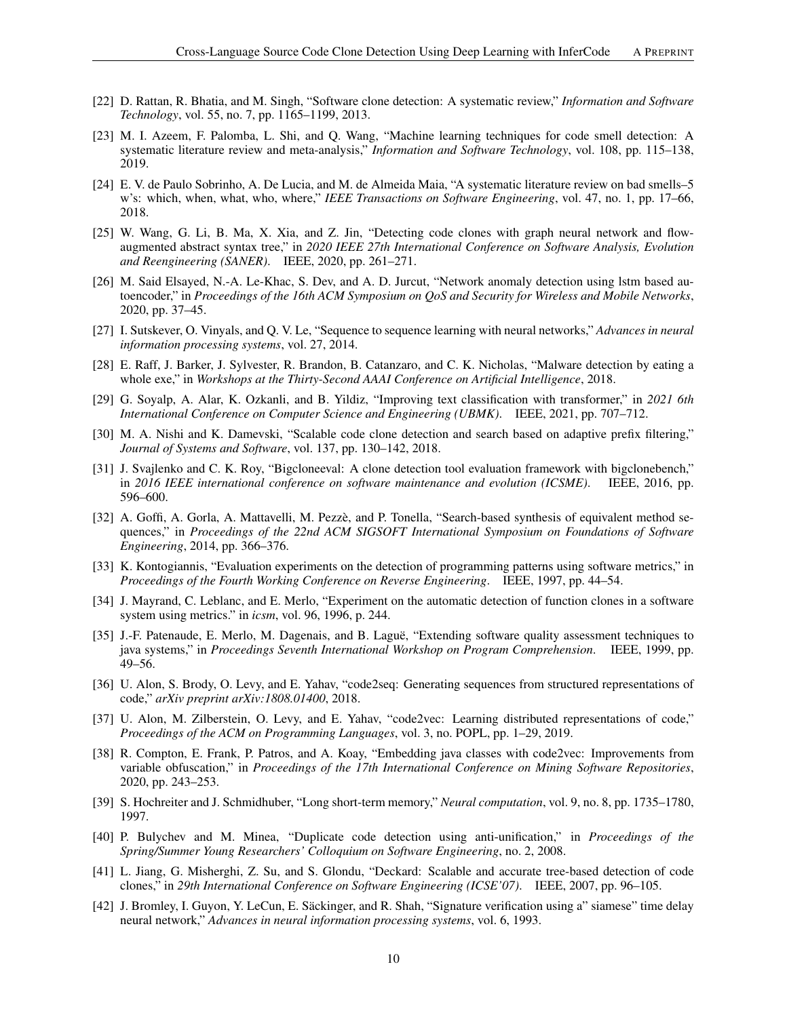- <span id="page-9-0"></span>[22] D. Rattan, R. Bhatia, and M. Singh, "Software clone detection: A systematic review," *Information and Software Technology*, vol. 55, no. 7, pp. 1165–1199, 2013.
- <span id="page-9-1"></span>[23] M. I. Azeem, F. Palomba, L. Shi, and Q. Wang, "Machine learning techniques for code smell detection: A systematic literature review and meta-analysis," *Information and Software Technology*, vol. 108, pp. 115–138, 2019.
- <span id="page-9-2"></span>[24] E. V. de Paulo Sobrinho, A. De Lucia, and M. de Almeida Maia, "A systematic literature review on bad smells–5 w's: which, when, what, who, where," *IEEE Transactions on Software Engineering*, vol. 47, no. 1, pp. 17–66, 2018.
- <span id="page-9-3"></span>[25] W. Wang, G. Li, B. Ma, X. Xia, and Z. Jin, "Detecting code clones with graph neural network and flowaugmented abstract syntax tree," in *2020 IEEE 27th International Conference on Software Analysis, Evolution and Reengineering (SANER)*. IEEE, 2020, pp. 261–271.
- <span id="page-9-4"></span>[26] M. Said Elsayed, N.-A. Le-Khac, S. Dev, and A. D. Jurcut, "Network anomaly detection using lstm based autoencoder," in *Proceedings of the 16th ACM Symposium on QoS and Security for Wireless and Mobile Networks*, 2020, pp. 37–45.
- <span id="page-9-5"></span>[27] I. Sutskever, O. Vinyals, and Q. V. Le, "Sequence to sequence learning with neural networks," *Advances in neural information processing systems*, vol. 27, 2014.
- <span id="page-9-6"></span>[28] E. Raff, J. Barker, J. Sylvester, R. Brandon, B. Catanzaro, and C. K. Nicholas, "Malware detection by eating a whole exe," in *Workshops at the Thirty-Second AAAI Conference on Artificial Intelligence*, 2018.
- <span id="page-9-7"></span>[29] G. Soyalp, A. Alar, K. Ozkanli, and B. Yildiz, "Improving text classification with transformer," in *2021 6th International Conference on Computer Science and Engineering (UBMK)*. IEEE, 2021, pp. 707–712.
- <span id="page-9-8"></span>[30] M. A. Nishi and K. Damevski, "Scalable code clone detection and search based on adaptive prefix filtering," *Journal of Systems and Software*, vol. 137, pp. 130–142, 2018.
- <span id="page-9-9"></span>[31] J. Svajlenko and C. K. Roy, "Bigcloneeval: A clone detection tool evaluation framework with bigclonebench," in *2016 IEEE international conference on software maintenance and evolution (ICSME)*. IEEE, 2016, pp. 596–600.
- <span id="page-9-10"></span>[32] A. Goffi, A. Gorla, A. Mattavelli, M. Pezzè, and P. Tonella, "Search-based synthesis of equivalent method sequences," in *Proceedings of the 22nd ACM SIGSOFT International Symposium on Foundations of Software Engineering*, 2014, pp. 366–376.
- <span id="page-9-11"></span>[33] K. Kontogiannis, "Evaluation experiments on the detection of programming patterns using software metrics," in *Proceedings of the Fourth Working Conference on Reverse Engineering*. IEEE, 1997, pp. 44–54.
- <span id="page-9-12"></span>[34] J. Mayrand, C. Leblanc, and E. Merlo, "Experiment on the automatic detection of function clones in a software system using metrics." in *icsm*, vol. 96, 1996, p. 244.
- <span id="page-9-13"></span>[35] J.-F. Patenaude, E. Merlo, M. Dagenais, and B. Lague, "Extending software quality assessment techniques to java systems," in *Proceedings Seventh International Workshop on Program Comprehension*. IEEE, 1999, pp. 49–56.
- <span id="page-9-14"></span>[36] U. Alon, S. Brody, O. Levy, and E. Yahav, "code2seq: Generating sequences from structured representations of code," *arXiv preprint arXiv:1808.01400*, 2018.
- <span id="page-9-15"></span>[37] U. Alon, M. Zilberstein, O. Levy, and E. Yahav, "code2vec: Learning distributed representations of code," *Proceedings of the ACM on Programming Languages*, vol. 3, no. POPL, pp. 1–29, 2019.
- <span id="page-9-16"></span>[38] R. Compton, E. Frank, P. Patros, and A. Koay, "Embedding java classes with code2vec: Improvements from variable obfuscation," in *Proceedings of the 17th International Conference on Mining Software Repositories*, 2020, pp. 243–253.
- <span id="page-9-17"></span>[39] S. Hochreiter and J. Schmidhuber, "Long short-term memory," *Neural computation*, vol. 9, no. 8, pp. 1735–1780, 1997.
- <span id="page-9-18"></span>[40] P. Bulychev and M. Minea, "Duplicate code detection using anti-unification," in *Proceedings of the Spring/Summer Young Researchers' Colloquium on Software Engineering*, no. 2, 2008.
- <span id="page-9-19"></span>[41] L. Jiang, G. Misherghi, Z. Su, and S. Glondu, "Deckard: Scalable and accurate tree-based detection of code clones," in *29th International Conference on Software Engineering (ICSE'07)*. IEEE, 2007, pp. 96–105.
- <span id="page-9-20"></span>[42] J. Bromley, I. Guyon, Y. LeCun, E. Säckinger, and R. Shah, "Signature verification using a" siamese" time delay neural network," *Advances in neural information processing systems*, vol. 6, 1993.